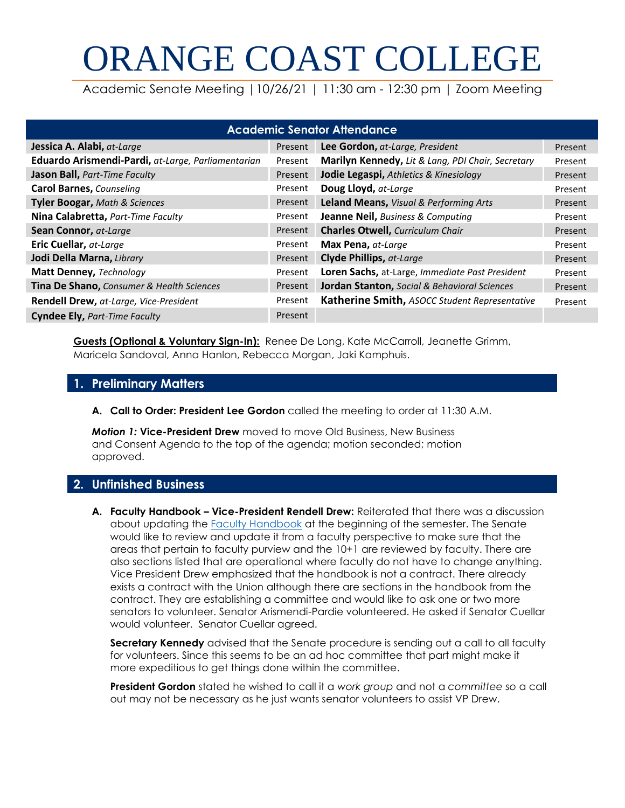# ORANGE COAST COLLEGE

Academic Senate Meeting |10/26/21 | 11:30 am - 12:30 pm | Zoom Meeting

| <b>Academic Senator Attendance</b>                 |         |                                                   |         |
|----------------------------------------------------|---------|---------------------------------------------------|---------|
| Jessica A. Alabi, at-Large                         | Present | Lee Gordon, at-Large, President                   | Present |
| Eduardo Arismendi-Pardi, at-Large, Parliamentarian | Present | Marilyn Kennedy, Lit & Lang, PDI Chair, Secretary | Present |
| Jason Ball, Part-Time Faculty                      | Present | Jodie Legaspi, Athletics & Kinesiology            | Present |
| <b>Carol Barnes, Counseling</b>                    | Present | Doug Lloyd, at-Large                              | Present |
| <b>Tyler Boogar, Math &amp; Sciences</b>           | Present | Leland Means, Visual & Performing Arts            | Present |
| Nina Calabretta, Part-Time Faculty                 | Present | Jeanne Neil, Business & Computing                 | Present |
| Sean Connor, at-Large                              | Present | <b>Charles Otwell, Curriculum Chair</b>           | Present |
| Eric Cuellar, at-Large                             | Present | Max Pena, at-Large                                | Present |
| Jodi Della Marna, Library                          | Present | <b>Clyde Phillips, at-Large</b>                   | Present |
| Matt Denney, Technology                            | Present | Loren Sachs, at-Large, Immediate Past President   | Present |
| Tina De Shano, Consumer & Health Sciences          | Present | Jordan Stanton, Social & Behavioral Sciences      | Present |
| Rendell Drew, at-Large, Vice-President             | Present | Katherine Smith, ASOCC Student Representative     | Present |
| <b>Cyndee Ely, Part-Time Faculty</b>               | Present |                                                   |         |

**Guests (Optional & Voluntary Sign-In):** Renee De Long, Kate McCarroll, Jeanette Grimm, Maricela Sandoval, Anna Hanlon, Rebecca Morgan, Jaki Kamphuis.

# **1. Preliminary Matters**

**A. Call to Order: President Lee Gordon** called the meeting to order at 11:30 A.M.

*Motion 1:* **Vice-President Drew** moved to move Old Business, New Business and Consent Agenda to the top of the agenda; motion seconded; motion approved.

# **2. Unfinished Business**

**A. Faculty Handbook – Vice-President Rendell Drew:** Reiterated that there was a discussion about updating the [Faculty Handbook](https://occportal.orangecoastcollege.net/Departments/Instruction/instruction-office/SitePages/Faculty-Handbook.aspx) at the beginning of the semester. The Senate would like to review and update it from a faculty perspective to make sure that the areas that pertain to faculty purview and the 10+1 are reviewed by faculty. There are also sections listed that are operational where faculty do not have to change anything. Vice President Drew emphasized that the handbook is not a contract. There already exists a contract with the Union although there are sections in the handbook from the contract. They are establishing a committee and would like to ask one or two more senators to volunteer. Senator Arismendi-Pardie volunteered. He asked if Senator Cuellar would volunteer. Senator Cuellar agreed.

**Secretary Kennedy** advised that the Senate procedure is sending out a call to all faculty for volunteers. Since this seems to be an ad hoc committee that part might make it more expeditious to get things done within the committee.

**President Gordon** stated he wished to call it a *work group* and not a *committee so* a call out may not be necessary as he just wants senator volunteers to assist VP Drew.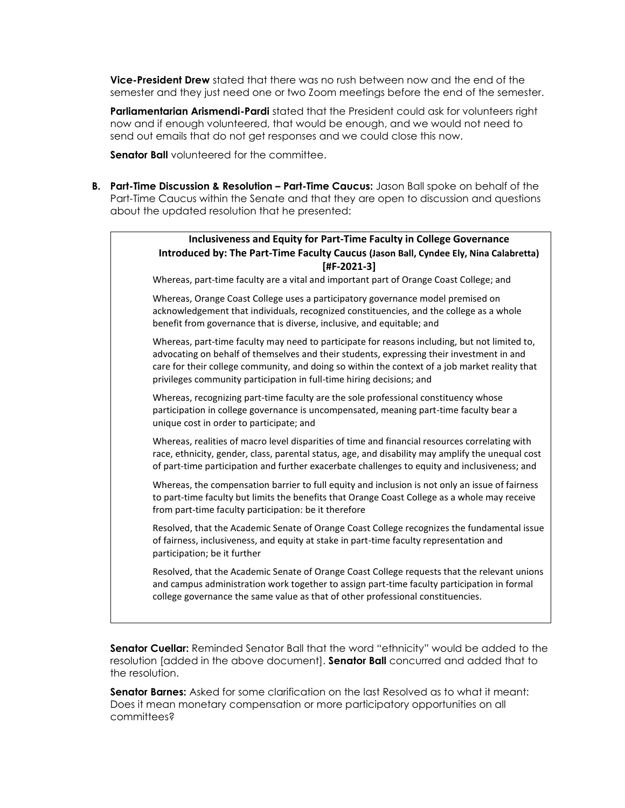**Vice-President Drew** stated that there was no rush between now and the end of the semester and they just need one or two Zoom meetings before the end of the semester.

**Parliamentarian Arismendi-Pardi** stated that the President could ask for volunteers right now and if enough volunteered, that would be enough, and we would not need to send out emails that do not get responses and we could close this now.

**Senator Ball** volunteered for the committee.

**B.** Part-Time Discussion & Resolution – Part-Time Caucus: Jason Ball spoke on behalf of the Part-Time Caucus within the Senate and that they are open to discussion and questions about the updated resolution that he presented:

# **Inclusiveness and Equity for Part-Time Faculty in College Governance Introduced by: The Part-Time Faculty Caucus (Jason Ball, Cyndee Ely, Nina Calabretta) [#F-2021-3]**

Whereas, part-time faculty are a vital and important part of Orange Coast College; and

Whereas, Orange Coast College uses a participatory governance model premised on acknowledgement that individuals, recognized constituencies, and the college as a whole benefit from governance that is diverse, inclusive, and equitable; and

Whereas, part-time faculty may need to participate for reasons including, but not limited to, advocating on behalf of themselves and their students, expressing their investment in and care for their college community, and doing so within the context of a job market reality that privileges community participation in full-time hiring decisions; and

Whereas, recognizing part-time faculty are the sole professional constituency whose participation in college governance is uncompensated, meaning part-time faculty bear a unique cost in order to participate; and

Whereas, realities of macro level disparities of time and financial resources correlating with race, ethnicity, gender, class, parental status, age, and disability may amplify the unequal cost of part-time participation and further exacerbate challenges to equity and inclusiveness; and

Whereas, the compensation barrier to full equity and inclusion is not only an issue of fairness to part-time faculty but limits the benefits that Orange Coast College as a whole may receive from part-time faculty participation: be it therefore

Resolved, that the Academic Senate of Orange Coast College recognizes the fundamental issue of fairness, inclusiveness, and equity at stake in part-time faculty representation and participation; be it further

Resolved, that the Academic Senate of Orange Coast College requests that the relevant unions and campus administration work together to assign part-time faculty participation in formal college governance the same value as that of other professional constituencies.

**Senator Cuellar:** Reminded Senator Ball that the word "ethnicity" would be added to the resolution [added in the above document]. **Senator Ball** concurred and added that to the resolution.

**Senator Barnes:** Asked for some clarification on the last Resolved as to what it meant: Does it mean monetary compensation or more participatory opportunities on all committees?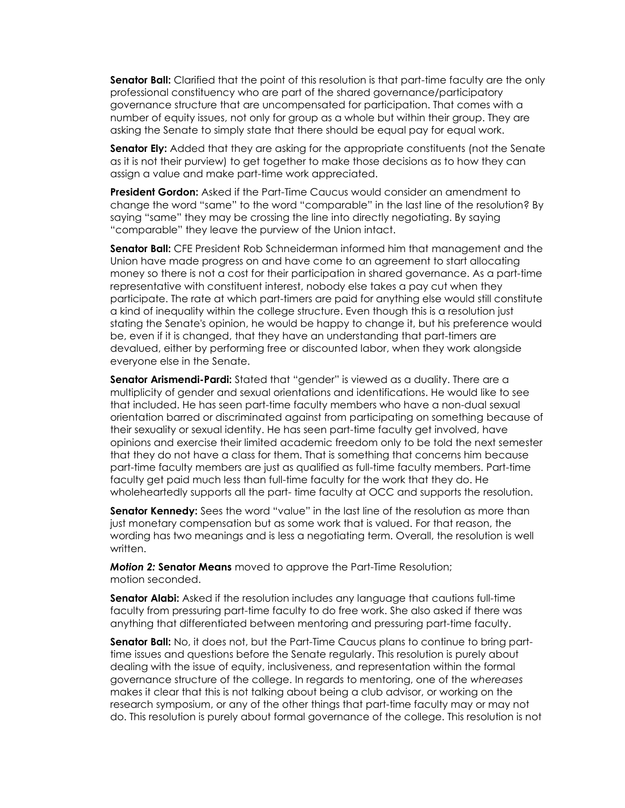**Senator Ball:** Clarified that the point of this resolution is that part-time faculty are the only professional constituency who are part of the shared governance/participatory governance structure that are uncompensated for participation. That comes with a number of equity issues, not only for group as a whole but within their group. They are asking the Senate to simply state that there should be equal pay for equal work.

**Senator Ely:** Added that they are asking for the appropriate constituents (not the Senate as it is not their purview) to get together to make those decisions as to how they can assign a value and make part-time work appreciated.

**President Gordon:** Asked if the Part-Time Caucus would consider an amendment to change the word "same" to the word "comparable" in the last line of the resolution? By saying "same" they may be crossing the line into directly negotiating. By saying "comparable" they leave the purview of the Union intact.

**Senator Ball:** CFE President Rob Schneiderman informed him that management and the Union have made progress on and have come to an agreement to start allocating money so there is not a cost for their participation in shared governance. As a part-time representative with constituent interest, nobody else takes a pay cut when they participate. The rate at which part-timers are paid for anything else would still constitute a kind of inequality within the college structure. Even though this is a resolution just stating the Senate's opinion, he would be happy to change it, but his preference would be, even if it is changed, that they have an understanding that part-timers are devalued, either by performing free or discounted labor, when they work alongside everyone else in the Senate.

**Senator Arismendi-Pardi:** Stated that "gender" is viewed as a duality. There are a multiplicity of gender and sexual orientations and identifications. He would like to see that included. He has seen part-time faculty members who have a non-dual sexual orientation barred or discriminated against from participating on something because of their sexuality or sexual identity. He has seen part-time faculty get involved, have opinions and exercise their limited academic freedom only to be told the next semester that they do not have a class for them. That is something that concerns him because part-time faculty members are just as qualified as full-time faculty members. Part-time faculty get paid much less than full-time faculty for the work that they do. He wholeheartedly supports all the part- time faculty at OCC and supports the resolution.

**Senator Kennedy:** Sees the word "value" in the last line of the resolution as more than just monetary compensation but as some work that is valued. For that reason, the wording has two meanings and is less a negotiating term. Overall, the resolution is well written.

*Motion 2:* **Senator Means** moved to approve the Part-Time Resolution; motion seconded.

**Senator Alabi:** Asked if the resolution includes any language that cautions full-time faculty from pressuring part-time faculty to do free work. She also asked if there was anything that differentiated between mentoring and pressuring part-time faculty.

**Senator Ball:** No, it does not, but the Part-Time Caucus plans to continue to bring parttime issues and questions before the Senate regularly. This resolution is purely about dealing with the issue of equity, inclusiveness, and representation within the formal governance structure of the college. In regards to mentoring, one of the *whereases* makes it clear that this is not talking about being a club advisor, or working on the research symposium, or any of the other things that part-time faculty may or may not do. This resolution is purely about formal governance of the college. This resolution is not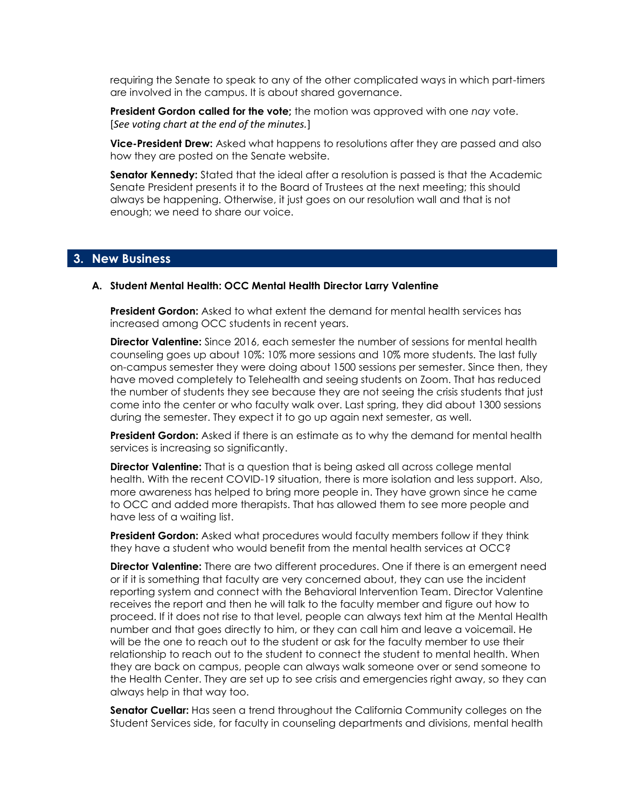requiring the Senate to speak to any of the other complicated ways in which part-timers are involved in the campus. It is about shared governance.

**President Gordon called for the vote;** the motion was approved with one *nay* vote. [*See voting chart at the end of the minutes.*]

**Vice-President Drew:** Asked what happens to resolutions after they are passed and also how they are posted on the Senate website.

**Senator Kennedy:** Stated that the ideal after a resolution is passed is that the Academic Senate President presents it to the Board of Trustees at the next meeting; this should always be happening. Otherwise, it just goes on our resolution wall and that is not enough; we need to share our voice.

## **3. New Business**

#### **A. Student Mental Health: OCC Mental Health Director Larry Valentine**

**President Gordon:** Asked to what extent the demand for mental health services has increased among OCC students in recent years.

**Director Valentine:** Since 2016, each semester the number of sessions for mental health counseling goes up about 10%: 10% more sessions and 10% more students. The last fully on-campus semester they were doing about 1500 sessions per semester. Since then, they have moved completely to Telehealth and seeing students on Zoom. That has reduced the number of students they see because they are not seeing the crisis students that just come into the center or who faculty walk over. Last spring, they did about 1300 sessions during the semester. They expect it to go up again next semester, as well.

**President Gordon:** Asked if there is an estimate as to why the demand for mental health services is increasing so significantly.

**Director Valentine:** That is a question that is being asked all across college mental health. With the recent COVID-19 situation, there is more isolation and less support. Also, more awareness has helped to bring more people in. They have grown since he came to OCC and added more therapists. That has allowed them to see more people and have less of a waiting list.

**President Gordon:** Asked what procedures would faculty members follow if they think they have a student who would benefit from the mental health services at OCC?

**Director Valentine:** There are two different procedures. One if there is an emergent need or if it is something that faculty are very concerned about, they can use the incident reporting system and connect with the Behavioral Intervention Team. Director Valentine receives the report and then he will talk to the faculty member and figure out how to proceed. If it does not rise to that level, people can always text him at the Mental Health number and that goes directly to him, or they can call him and leave a voicemail. He will be the one to reach out to the student or ask for the faculty member to use their relationship to reach out to the student to connect the student to mental health. When they are back on campus, people can always walk someone over or send someone to the Health Center. They are set up to see crisis and emergencies right away, so they can always help in that way too.

**Senator Cuellar:** Has seen a trend throughout the California Community colleges on the Student Services side, for faculty in counseling departments and divisions, mental health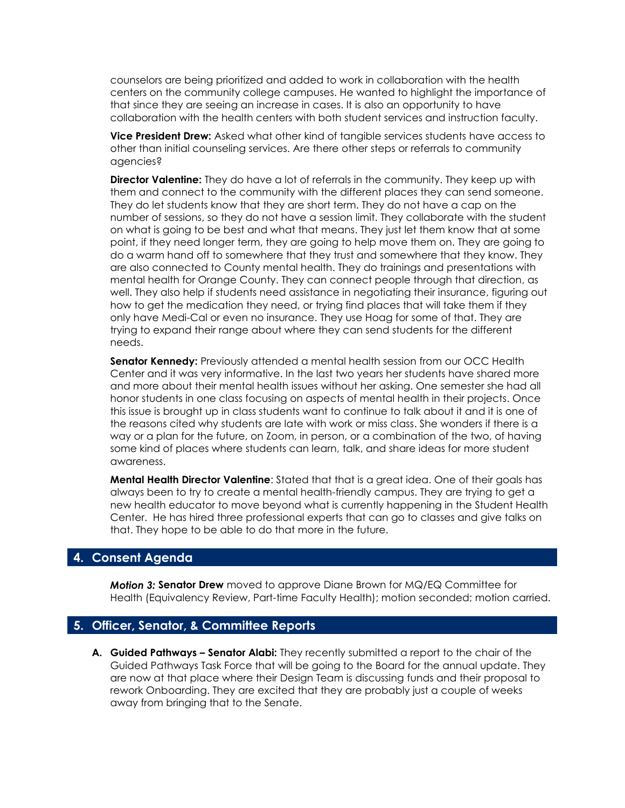counselors are being prioritized and added to work in collaboration with the health centers on the community college campuses. He wanted to highlight the importance of that since they are seeing an increase in cases. It is also an opportunity to have collaboration with the health centers with both student services and instruction faculty.

**Vice President Drew:** Asked what other kind of tangible services students have access to other than initial counseling services. Are there other steps or referrals to community agencies?

**Director Valentine:** They do have a lot of referrals in the community. They keep up with them and connect to the community with the different places they can send someone. They do let students know that they are short term. They do not have a cap on the number of sessions, so they do not have a session limit. They collaborate with the student on what is going to be best and what that means. They just let them know that at some point, if they need longer term, they are going to help move them on. They are going to do a warm hand off to somewhere that they trust and somewhere that they know. They are also connected to County mental health. They do trainings and presentations with mental health for Orange County. They can connect people through that direction, as well. They also help if students need assistance in negotiating their insurance, figuring out how to get the medication they need, or trying find places that will take them if they only have Medi-Cal or even no insurance. They use Hoag for some of that. They are trying to expand their range about where they can send students for the different needs.

**Senator Kennedy:** Previously attended a mental health session from our OCC Health Center and it was very informative. In the last two years her students have shared more and more about their mental health issues without her asking. One semester she had all honor students in one class focusing on aspects of mental health in their projects. Once this issue is brought up in class students want to continue to talk about it and it is one of the reasons cited why students are late with work or miss class. She wonders if there is a way or a plan for the future, on Zoom, in person, or a combination of the two, of having some kind of places where students can learn, talk, and share ideas for more student awareness.

**Mental Health Director Valentine**: Stated that that is a great idea. One of their goals has always been to try to create a mental health-friendly campus. They are trying to get a new health educator to move beyond what is currently happening in the Student Health Center. He has hired three professional experts that can go to classes and give talks on that. They hope to be able to do that more in the future.

# **4. Consent Agenda**

*Motion 3:* **Senator Drew** moved to approve Diane Brown for MQ/EQ Committee for Health (Equivalency Review, Part-time Faculty Health); motion seconded; motion carried.

### **5. Officer, Senator, & Committee Reports**

**A. Guided Pathways – Senator Alabi:** They recently submitted a report to the chair of the Guided Pathways Task Force that will be going to the Board for the annual update. They are now at that place where their Design Team is discussing funds and their proposal to rework Onboarding. They are excited that they are probably just a couple of weeks away from bringing that to the Senate.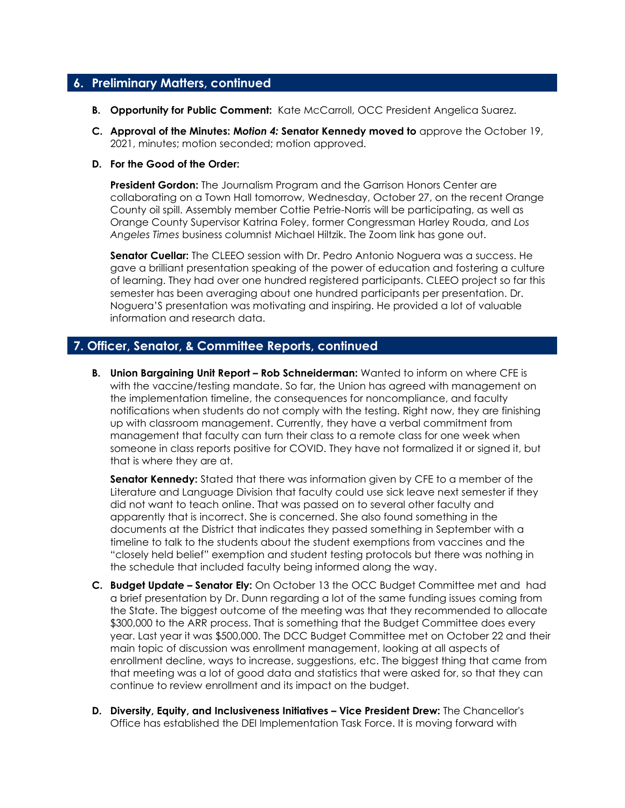# **6. Preliminary Matters, continued**

- **B. Opportunity for Public Comment:** Kate McCarroll, OCC President Angelica Suarez.
- **C. Approval of the Minutes: M***otion 4:* **Senator Kennedy moved to** approve the October 19, 2021, minutes; motion seconded; motion approved.

#### **D. For the Good of the Order:**

**President Gordon:** The Journalism Program and the Garrison Honors Center are collaborating on a Town Hall tomorrow, Wednesday, October 27, on the recent Orange County oil spill. Assembly member Cottie Petrie-Norris will be participating, as well as Orange County Supervisor Katrina Foley, former Congressman Harley Rouda, and *Los Angeles Times* business columnist Michael Hiltzik. The Zoom link has gone out.

**Senator Cuellar:** The CLEEO session with Dr. Pedro Antonio Noguera was a success. He gave a brilliant presentation speaking of the power of education and fostering a culture of learning. They had over one hundred registered participants. CLEEO project so far this semester has been averaging about one hundred participants per presentation. Dr. Noguera'S presentation was motivating and inspiring. He provided a lot of valuable information and research data.

# **7. Officer, Senator, & Committee Reports, continued**

**B.** Union Bargaining Unit Report – Rob Schneiderman: Wanted to inform on where CFE is with the vaccine/testing mandate. So far, the Union has agreed with management on the implementation timeline, the consequences for noncompliance, and faculty notifications when students do not comply with the testing. Right now, they are finishing up with classroom management. Currently, they have a verbal commitment from management that faculty can turn their class to a remote class for one week when someone in class reports positive for COVID. They have not formalized it or signed it, but that is where they are at.

**Senator Kennedy:** Stated that there was information given by CFE to a member of the Literature and Language Division that faculty could use sick leave next semester if they did not want to teach online. That was passed on to several other faculty and apparently that is incorrect. She is concerned. She also found something in the documents at the District that indicates they passed something in September with a timeline to talk to the students about the student exemptions from vaccines and the "closely held belief" exemption and student testing protocols but there was nothing in the schedule that included faculty being informed along the way.

- **C. Budget Update – Senator Ely:** On October 13 the OCC Budget Committee met and had a brief presentation by Dr. Dunn regarding a lot of the same funding issues coming from the State. The biggest outcome of the meeting was that they recommended to allocate \$300,000 to the ARR process. That is something that the Budget Committee does every year. Last year it was \$500,000. The DCC Budget Committee met on October 22 and their main topic of discussion was enrollment management, looking at all aspects of enrollment decline, ways to increase, suggestions, etc. The biggest thing that came from that meeting was a lot of good data and statistics that were asked for, so that they can continue to review enrollment and its impact on the budget.
- **D. Diversity, Equity, and Inclusiveness Initiatives – Vice President Drew:** The Chancellor's Office has established the DEI Implementation Task Force. It is moving forward with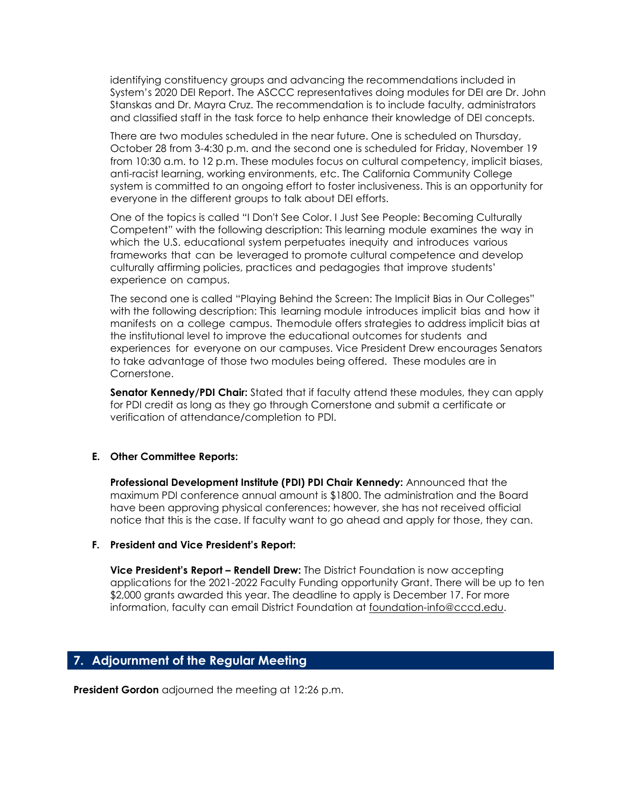identifying constituency groups and advancing the recommendations included in System's 2020 DEI Report. The ASCCC representatives doing modules for DEI are Dr. John Stanskas and Dr. Mayra Cruz. The recommendation is to include faculty, administrators and classified staff in the task force to help enhance their knowledge of DEI concepts.

There are two modules scheduled in the near future. One is scheduled on Thursday, October 28 from 3-4:30 p.m. and the second one is scheduled for Friday, November 19 from 10:30 a.m. to 12 p.m. These modules focus on cultural competency, implicit biases, anti-racist learning, working environments, etc. The California Community College system is committed to an ongoing effort to foster inclusiveness. This is an opportunity for everyone in the different groups to talk about DEI efforts.

One of the topics is called "I Don't See Color. I Just See People: Becoming Culturally Competent" with the following description: This learning module examines the way in which the U.S. educational system perpetuates inequity and introduces various frameworks that can be leveraged to promote cultural competence and develop culturally affirming policies, practices and pedagogies that improve students' experience on campus.

The second one is called "Playing Behind the Screen: The Implicit Bias in Our Colleges" with the following description: This learning module introduces implicit bias and how it manifests on a college campus. Themodule offers strategies to address implicit bias at the institutional level to improve the educational outcomes for students and experiences for everyone on our campuses. Vice President Drew encourages Senators to take advantage of those two modules being offered. These modules are in Cornerstone.

**Senator Kennedy/PDI Chair:** Stated that if faculty attend these modules, they can apply for PDI credit as long as they go through Cornerstone and submit a certificate or verification of attendance/completion to PDI.

#### **E. Other Committee Reports:**

**Professional Development Institute (PDI) PDI Chair Kennedy:** Announced that the maximum PDI conference annual amount is \$1800. The administration and the Board have been approving physical conferences; however, she has not received official notice that this is the case. If faculty want to go ahead and apply for those, they can.

#### **F. President and Vice President's Report:**

**Vice President's Report – Rendell Drew:** The District Foundation is now accepting applications for the 2021-2022 Faculty Funding opportunity Grant. There will be up to ten \$2,000 grants awarded this year. The deadline to apply is December 17. For more information, faculty can email District Foundation at [foundation-info@cccd.edu.](mailto:foundation-info@cccd.edu)

# **7. Adjournment of the Regular Meeting**

**President Gordon** adjourned the meeting at 12:26 p.m.